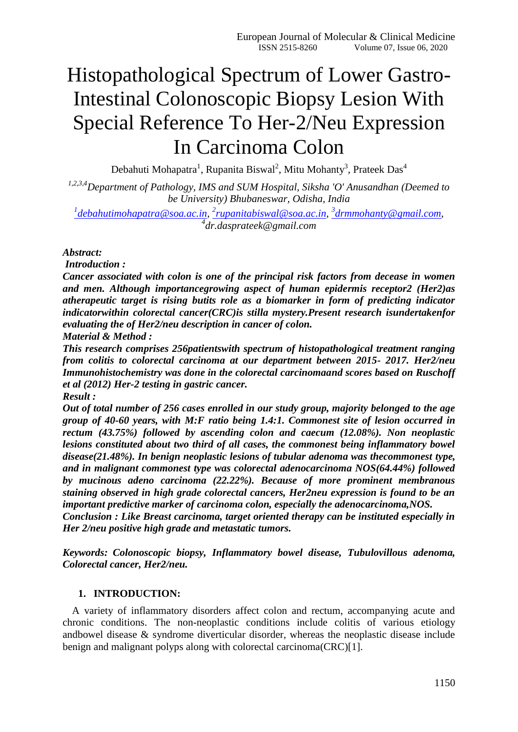# Histopathological Spectrum of Lower Gastro-Intestinal Colonoscopic Biopsy Lesion With Special Reference To Her-2/Neu Expression In Carcinoma Colon

Debahuti Mohapatra<sup>1</sup>, Rupanita Biswal<sup>2</sup>, Mitu Mohanty<sup>3</sup>, Prateek Das<sup>4</sup>

*1,2,3,4Department of Pathology, IMS and SUM Hospital, Siksha 'O' Anusandhan (Deemed to be University) Bhubaneswar, Odisha, India*

*1 [debahutimohapatra@soa.ac.in,](mailto:1debahutimohapatra@soa.ac.in) 2 [rupanitabiswal@soa.ac.in,](mailto:2rupanitabiswal@soa.ac.in) 3 [drmmohanty@gmail.com,](mailto:3drmmohanty@gmail.com) 4 dr.dasprateek@gmail.com*

## *Abstract:*

*Introduction :*

*Cancer associated with colon is one of the principal risk factors from decease in women and men. Although importancegrowing aspect of human epidermis receptor2 (Her2)as atherapeutic target is rising butits role as a biomarker in form of predicting indicator indicatorwithin colorectal cancer(CRC)is stilla mystery.Present research isundertakenfor evaluating the of Her2/neu description in cancer of colon.* 

*Material & Method :*

*This research comprises 256patientswith spectrum of histopathological treatment ranging from colitis to colorectal carcinoma at our department between 2015- 2017. Her2/neu Immunohistochemistry was done in the colorectal carcinomaand scores based on Ruschoff et al (2012) Her-2 testing in gastric cancer.*

*Result :*

*Out of total number of 256 cases enrolled in our study group, majority belonged to the age group of 40-60 years, with M:F ratio being 1.4:1. Commonest site of lesion occurred in rectum (43.75%) followed by ascending colon and caecum (12.08%). Non neoplastic lesions constituted about two third of all cases, the commonest being inflammatory bowel disease(21.48%). In benign neoplastic lesions of tubular adenoma was thecommonest type, and in malignant commonest type was colorectal adenocarcinoma NOS(64.44%) followed by mucinous adeno carcinoma (22.22%). Because of more prominent membranous staining observed in high grade colorectal cancers, Her2neu expression is found to be an important predictive marker of carcinoma colon, especially the adenocarcinoma,NOS. Conclusion : Like Breast carcinoma, target oriented therapy can be instituted especially in Her 2/neu positive high grade and metastatic tumors.*

*Keywords: Colonoscopic biopsy, Inflammatory bowel disease, Tubulovillous adenoma, Colorectal cancer, Her2/neu.*

## **1. INTRODUCTION:**

A variety of inflammatory disorders affect colon and rectum, accompanying acute and chronic conditions. The non-neoplastic conditions include colitis of various etiology andbowel disease & syndrome diverticular disorder, whereas the neoplastic disease include benign and malignant polyps along with colorectal carcinoma(CRC)[1].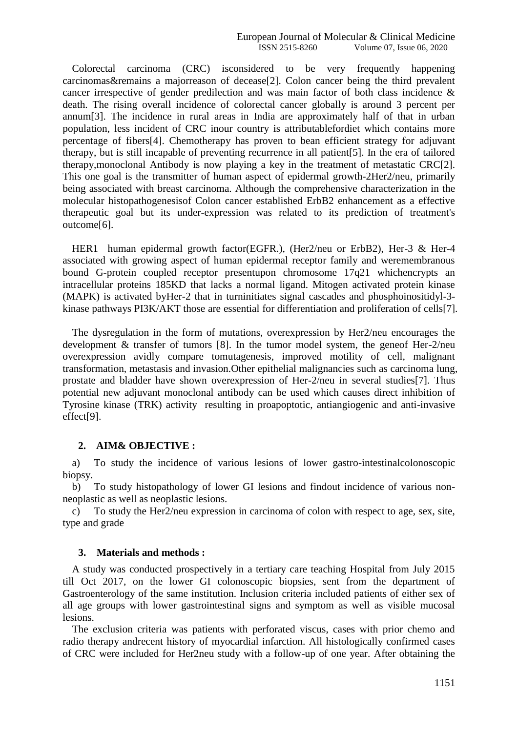Colorectal carcinoma (CRC) isconsidered to be very frequently happening carcinomas&remains a majorreason of decease[2]. Colon cancer being the third prevalent cancer irrespective of gender predilection and was main factor of both class incidence & death. The rising overall incidence of colorectal cancer globally is around 3 percent per annum[3]. The incidence in rural areas in India are approximately half of that in urban population, less incident of CRC inour country is attributablefordiet which contains more percentage of fibers[4]. Chemotherapy has proven to bean efficient strategy for adjuvant therapy, but is still incapable of preventing recurrence in all patient[5]. In the era of tailored therapy,monoclonal Antibody is now playing a key in the treatment of metastatic CRC[2]. This one goal is the transmitter of human aspect of epidermal growth-2Her2/neu, primarily being associated with breast carcinoma. Although the comprehensive characterization in the molecular histopathogenesisof Colon cancer established ErbB2 enhancement as a effective therapeutic goal but its under-expression was related to its prediction of treatment's outcome[6].

HER1 human epidermal growth factor(EGFR.), (Her2/neu or ErbB2), Her-3 & Her-4 associated with growing aspect of human epidermal receptor family and weremembranous bound G-protein coupled receptor presentupon chromosome 17q21 whichencrypts an intracellular proteins 185KD that lacks a normal ligand. Mitogen activated protein kinase (MAPK) is activated byHer-2 that in turninitiates signal cascades and phosphoinositidyl-3 kinase pathways PI3K/AKT those are essential for differentiation and proliferation of cells[7].

The dysregulation in the form of mutations, overexpression by Her2/neu encourages the development & transfer of tumors [8]. In the tumor model system, the geneof Her-2/neu overexpression avidly compare tomutagenesis, improved motility of cell, malignant transformation, metastasis and invasion.Other epithelial malignancies such as carcinoma lung, prostate and bladder have shown overexpression of Her-2/neu in several studies[7]. Thus potential new adjuvant monoclonal antibody can be used which causes direct inhibition of Tyrosine kinase (TRK) activity resulting in proapoptotic, antiangiogenic and anti-invasive effect[9].

#### **2. AIM& OBJECTIVE :**

a) To study the incidence of various lesions of lower gastro-intestinalcolonoscopic biopsy.

b) To study histopathology of lower GI lesions and findout incidence of various nonneoplastic as well as neoplastic lesions.

c) To study the Her2/neu expression in carcinoma of colon with respect to age, sex, site, type and grade

#### **3. Materials and methods :**

A study was conducted prospectively in a tertiary care teaching Hospital from July 2015 till Oct 2017, on the lower GI colonoscopic biopsies, sent from the department of Gastroenterology of the same institution. Inclusion criteria included patients of either sex of all age groups with lower gastrointestinal signs and symptom as well as visible mucosal lesions.

The exclusion criteria was patients with perforated viscus, cases with prior chemo and radio therapy andrecent history of myocardial infarction. All histologically confirmed cases of CRC were included for Her2neu study with a follow-up of one year. After obtaining the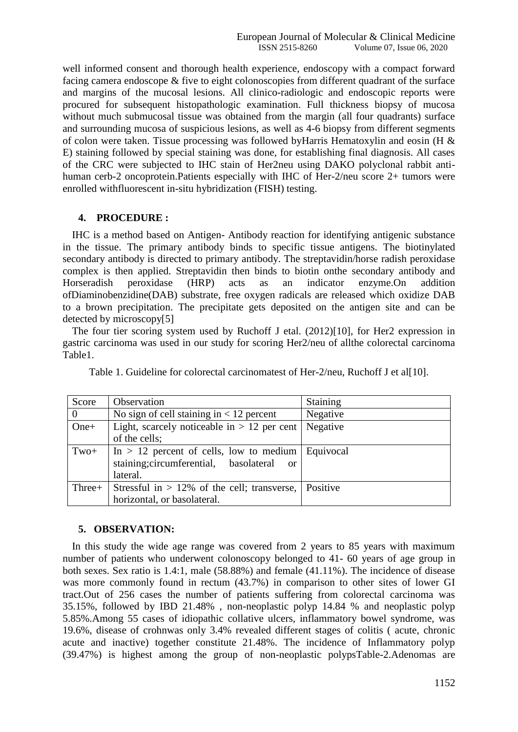well informed consent and thorough health experience, endoscopy with a compact forward facing camera endoscope & five to eight colonoscopies from different quadrant of the surface and margins of the mucosal lesions. All clinico-radiologic and endoscopic reports were procured for subsequent histopathologic examination. Full thickness biopsy of mucosa without much submucosal tissue was obtained from the margin (all four quadrants) surface and surrounding mucosa of suspicious lesions, as well as 4-6 biopsy from different segments of colon were taken. Tissue processing was followed byHarris Hematoxylin and eosin (H & E) staining followed by special staining was done, for establishing final diagnosis. All cases of the CRC were subjected to IHC stain of Her2neu using DAKO polyclonal rabbit antihuman cerb-2 oncoprotein.Patients especially with IHC of Her-2/neu score 2+ tumors were enrolled withfluorescent in-situ hybridization (FISH) testing.

## **4. PROCEDURE :**

IHC is a method based on Antigen- Antibody reaction for identifying antigenic substance in the tissue. The primary antibody binds to specific tissue antigens. The biotinylated secondary antibody is directed to primary antibody. The streptavidin/horse radish peroxidase complex is then applied. Streptavidin then binds to biotin onthe secondary antibody and Horseradish peroxidase (HRP) acts as an indicator enzyme.On addition ofDiaminobenzidine(DAB) substrate, free oxygen radicals are released which oxidize DAB to a brown precipitation. The precipitate gets deposited on the antigen site and can be detected by microscopy[5]

The four tier scoring system used by Ruchoff J etal. (2012)[10], for Her2 expression in gastric carcinoma was used in our study for scoring Her2/neu of allthe colorectal carcinoma Table1.

| Score    | Observation                                             | Staining  |
|----------|---------------------------------------------------------|-----------|
| $\theta$ | No sign of cell staining in $< 12$ percent              | Negative  |
| $One+$   | Light, scarcely noticeable in $> 12$ per cent           | Negative  |
|          | of the cells;                                           |           |
| $Two+$   | In $> 12$ percent of cells, low to medium               | Equivocal |
|          | staining; circumferential, basolateral<br><sub>or</sub> |           |
|          | lateral.                                                |           |
| Three+   | Stressful in $> 12\%$ of the cell; transverse,          | Positive  |
|          | horizontal, or basolateral.                             |           |

Table 1. Guideline for colorectal carcinomatest of Her-2/neu, Ruchoff J et al[10].

#### **5. OBSERVATION:**

In this study the wide age range was covered from 2 years to 85 years with maximum number of patients who underwent colonoscopy belonged to 41- 60 years of age group in both sexes. Sex ratio is 1.4:1, male (58.88%) and female (41.11%). The incidence of disease was more commonly found in rectum (43.7%) in comparison to other sites of lower GI tract.Out of 256 cases the number of patients suffering from colorectal carcinoma was 35.15%, followed by IBD 21.48% , non-neoplastic polyp 14.84 % and neoplastic polyp 5.85%.Among 55 cases of idiopathic collative ulcers, inflammatory bowel syndrome, was 19.6%, disease of crohnwas only 3.4% revealed different stages of colitis ( acute, chronic acute and inactive) together constitute 21.48%. The incidence of Inflammatory polyp (39.47%) is highest among the group of non-neoplastic polypsTable-2.Adenomas are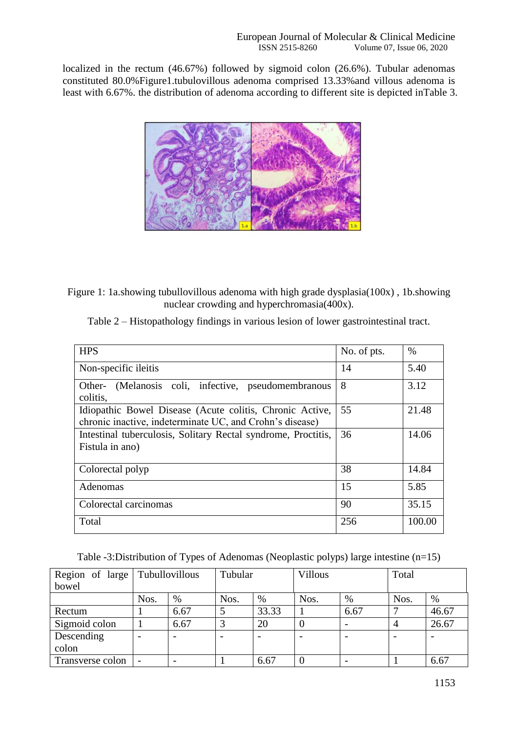localized in the rectum (46.67%) followed by sigmoid colon (26.6%). Tubular adenomas constituted 80.0%Figure1.tubulovillous adenoma comprised 13.33%and villous adenoma is least with 6.67%. the distribution of adenoma according to different site is depicted inTable 3.



Figure 1: 1a.showing tubullovillous adenoma with high grade dysplasia(100x) , 1b.showing nuclear crowding and hyperchromasia(400x).

| <b>HPS</b>                                                                                                           | No. of pts. | $\%$   |
|----------------------------------------------------------------------------------------------------------------------|-------------|--------|
| Non-specific ileitis                                                                                                 | 14          | 5.40   |
| (Melanosis coli, infective, pseudomembranous<br>Other-<br>colitis,                                                   | 8           | 3.12   |
| Idiopathic Bowel Disease (Acute colitis, Chronic Active,<br>chronic inactive, indeterminate UC, and Crohn's disease) | 55          | 21.48  |
| Intestinal tuberculosis, Solitary Rectal syndrome, Proctitis,<br>Fistula in ano)                                     | 36          | 14.06  |
| Colorectal polyp                                                                                                     | 38          | 14.84  |
| Adenomas                                                                                                             | 15          | 5.85   |
| Colorectal carcinomas                                                                                                | 90          | 35.15  |
| Total                                                                                                                | 256         | 100.00 |

Table -3:Distribution of Types of Adenomas (Neoplastic polyps) large intestine (n=15)

| Region of large   Tubullovillous |      |      | Tubular |       | <b>Villous</b> |      | Total |       |
|----------------------------------|------|------|---------|-------|----------------|------|-------|-------|
| bowel                            |      |      |         |       |                |      |       |       |
|                                  | Nos. | %    | Nos.    | $\%$  | Nos.           | %    | Nos.  | %     |
| Rectum                           |      | 6.67 |         | 33.33 |                | 6.67 | ⇁     | 46.67 |
| Sigmoid colon                    |      | 6.67 |         | 20    |                |      |       | 26.67 |
| Descending                       |      |      |         |       |                |      |       |       |
| colon                            |      |      |         |       |                |      |       |       |
| Transverse colon                 |      |      |         | 6.67  |                |      |       | 6.67  |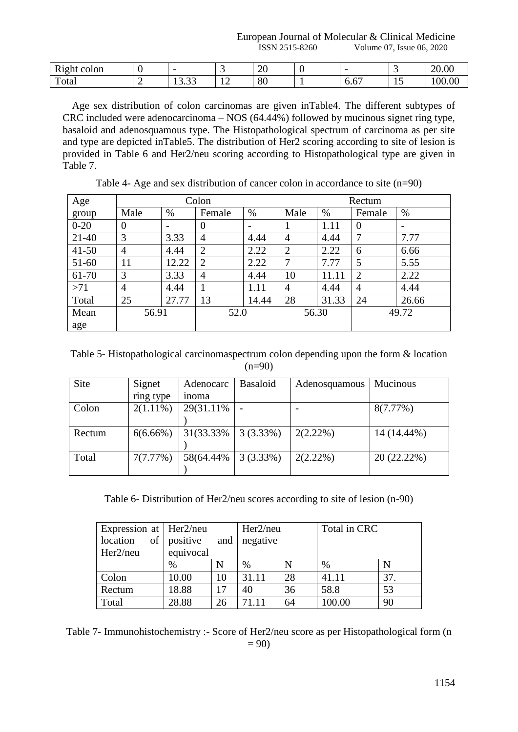European Journal of Molecular & Clinical Medicine ISSN 2515-8260 Volume 07, Issue 06, 2020

| ught<br>colon<br>. |                           | . .            | $\bigcap$<br>∠∪<br>$\sim$ |            |                | 20.00 |
|--------------------|---------------------------|----------------|---------------------------|------------|----------------|-------|
| m<br>`otal         | $\sim$<br>$\sim$<br>19.JJ | $\overline{1}$ | ററ<br>ου                  | --<br>v.v. | $\overline{1}$ | 00.00 |

Age sex distribution of colon carcinomas are given inTable4. The different subtypes of CRC included were adenocarcinoma – NOS (64.44%) followed by mucinous signet ring type, basaloid and adenosquamous type. The Histopathological spectrum of carcinoma as per site and type are depicted inTable5. The distribution of Her2 scoring according to site of lesion is provided in Table 6 and Her2/neu scoring according to Histopathological type are given in Table 7.

| Age       |                |                          | Colon          |                          | Rectum         |       |                |                          |  |
|-----------|----------------|--------------------------|----------------|--------------------------|----------------|-------|----------------|--------------------------|--|
| group     | Male           | $\%$                     | Female         | $\%$                     | Male           | $\%$  | Female         | $\%$                     |  |
| $0 - 20$  | $\theta$       | $\overline{\phantom{0}}$ | $\overline{0}$ | $\overline{\phantom{0}}$ |                | 1.11  | $\overline{0}$ | $\overline{\phantom{0}}$ |  |
| $21-40$   | 3              | 3.33                     | $\overline{4}$ | 4.44                     | 4              | 4.44  | 7              | 7.77                     |  |
| $41 - 50$ | $\overline{4}$ | 4.44                     | $\overline{2}$ | 2.22                     | $\overline{2}$ | 2.22  | 6              | 6.66                     |  |
| $51-60$   | 11             | 12.22                    | $\overline{2}$ | 2.22                     | 7              | 7.77  | 5              | 5.55                     |  |
| 61-70     | 3              | 3.33                     | $\overline{4}$ | 4.44                     | 10             | 11.11 | $\overline{2}$ | 2.22                     |  |
| >71       | 4              | 4.44                     | 1              | 1.11                     | 4              | 4.44  | $\overline{4}$ | 4.44                     |  |
| Total     | 25             | 27.77                    | 13             | 14.44                    | 28             | 31.33 | 24             | 26.66                    |  |
| Mean      | 56.91          |                          |                | 52.0                     |                | 56.30 |                | 49.72                    |  |
| age       |                |                          |                |                          |                |       |                |                          |  |

Table 4- Age and sex distribution of cancer colon in accordance to site (n=90)

Table 5- Histopathological carcinomaspectrum colon depending upon the form & location  $(n=90)$ 

| <b>Site</b> | Signet      | Adenocarc  | <b>Basaloid</b> | Adenosquamous | <b>Mucinous</b> |
|-------------|-------------|------------|-----------------|---------------|-----------------|
|             | ring type   | inoma      |                 |               |                 |
| Colon       | $2(1.11\%)$ | 29(31.11%) |                 |               | 8(7.77%)        |
|             |             |            |                 |               |                 |
| Rectum      | $6(6.66\%)$ | 31(33.33%) | $3(3.33\%)$     | $2(2.22\%)$   | 14 (14.44%)     |
|             |             |            |                 |               |                 |
| Total       | 7(7.77%)    | 58(64.44%) | 3(3.33%)        | 2(2.22%)      | 20 (22.22%)     |
|             |             |            |                 |               |                 |

Table 6- Distribution of Her2/neu scores according to site of lesion (n-90)

| Expression at $Her2/neu$    |           |     | Her2/neu |    | Total in CRC |     |  |
|-----------------------------|-----------|-----|----------|----|--------------|-----|--|
| location<br>of <sub>1</sub> | positive  | and | negative |    |              |     |  |
| Her2/neu                    | equivocal |     |          |    |              |     |  |
|                             | $\%$      | N   | $\%$     | N  | $\%$         |     |  |
| Colon                       | 10.00     | 10  | 31.11    | 28 | 41.11        | 37. |  |
| Rectum                      | 18.88     | 17  | 40       | 36 | 58.8         | 53  |  |
| Total                       | 28.88     | 26  | 71.11    | 64 | 100.00       | 90  |  |

Table 7- Immunohistochemistry :- Score of Her2/neu score as per Histopathological form (n  $= 90$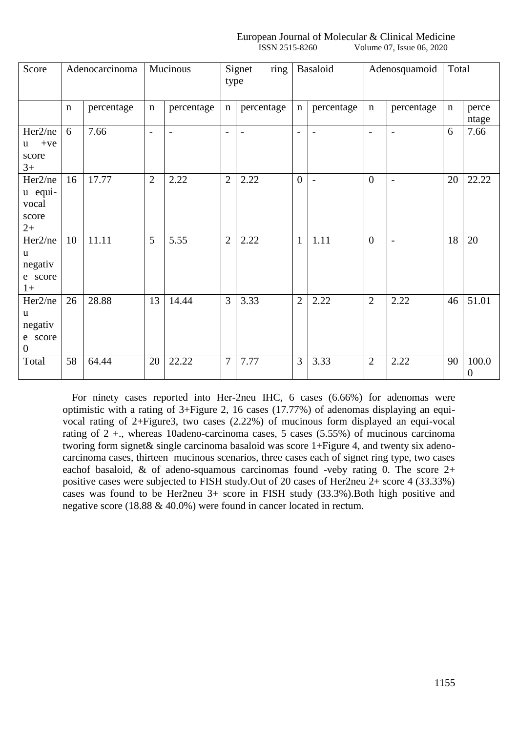#### European Journal of Molecular & Clinical Medicine ISSN 2515-8260 Volume 07, Issue 06, 2020

| Score                                                  |             | Adenocarcinoma |                          | Mucinous                 | type           | ring<br>Signet           | Basaloid       |                          |                          | Adenosquamoid            |             | Total                     |
|--------------------------------------------------------|-------------|----------------|--------------------------|--------------------------|----------------|--------------------------|----------------|--------------------------|--------------------------|--------------------------|-------------|---------------------------|
|                                                        | $\mathbf n$ | percentage     | $\mathbf n$              | percentage               | n              | percentage               | n              | percentage               | $\mathbf n$              | percentage               | $\mathbf n$ | perce<br>ntage            |
| Her2/ne<br>$+ve$<br>u.<br>score<br>$3+$                | 6           | 7.66           | $\overline{\phantom{a}}$ | $\overline{\phantom{a}}$ | $\blacksquare$ | $\overline{\phantom{a}}$ | $\overline{a}$ | $\overline{\phantom{a}}$ | $\overline{\phantom{a}}$ | $\overline{\phantom{a}}$ | 6           | 7.66                      |
| Her2/ne<br>u equi-<br>vocal<br>score<br>$2+$           | 16          | 17.77          | $\overline{2}$           | 2.22                     | $\overline{2}$ | 2.22                     | $\mathbf{0}$   | $\blacksquare$           | $\overline{0}$           | $\overline{\phantom{0}}$ | 20          | 22.22                     |
| Her2/ne<br>u<br>negativ<br>e score<br>$1+$             | 10          | 11.11          | 5                        | 5.55                     | $\overline{2}$ | 2.22                     | $\mathbf{1}$   | 1.11                     | $\overline{0}$           | $\overline{\phantom{0}}$ | 18          | 20                        |
| Her2/ne<br>u<br>negativ<br>e score<br>$\boldsymbol{0}$ | 26          | 28.88          | 13                       | 14.44                    | 3              | 3.33                     | $\overline{2}$ | 2.22                     | $\overline{2}$           | 2.22                     | 46          | 51.01                     |
| Total                                                  | 58          | 64.44          | 20                       | 22.22                    | $\overline{7}$ | 7.77                     | 3              | 3.33                     | $\overline{2}$           | 2.22                     | 90          | 100.0<br>$\boldsymbol{0}$ |

For ninety cases reported into Her-2neu IHC, 6 cases (6.66%) for adenomas were optimistic with a rating of 3+Figure 2, 16 cases (17.77%) of adenomas displaying an equivocal rating of 2+Figure3, two cases (2.22%) of mucinous form displayed an equi-vocal rating of  $2 +$ , whereas 10adeno-carcinoma cases, 5 cases (5.55%) of mucinous carcinoma tworing form signet& single carcinoma basaloid was score 1+Figure 4, and twenty six adenocarcinoma cases, thirteen mucinous scenarios, three cases each of signet ring type, two cases eachof basaloid,  $\&$  of adeno-squamous carcinomas found -veby rating 0. The score 2+ positive cases were subjected to FISH study.Out of 20 cases of Her2neu 2+ score 4 (33.33%) cases was found to be Her2neu 3+ score in FISH study (33.3%).Both high positive and negative score (18.88 & 40.0%) were found in cancer located in rectum.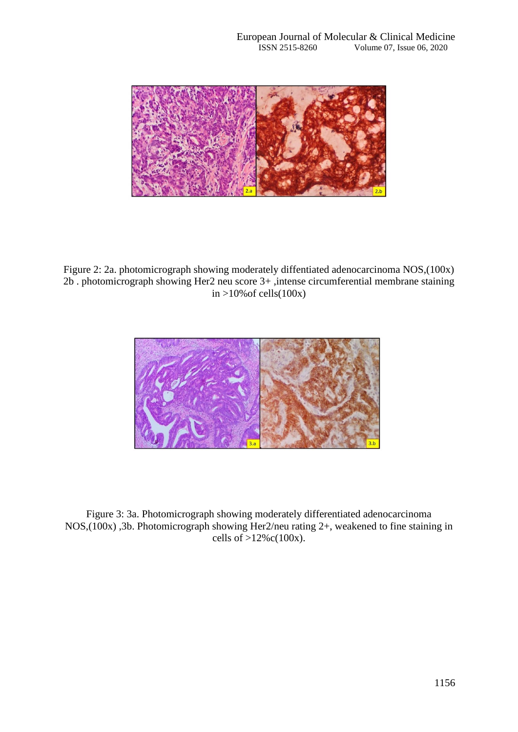

Figure 2: 2a. photomicrograph showing moderately diffentiated adenocarcinoma NOS,(100x) 2b . photomicrograph showing Her2 neu score 3+ ,intense circumferential membrane staining in  $>10\%$  of cells(100x)



Figure 3: 3a. Photomicrograph showing moderately differentiated adenocarcinoma NOS,(100x) ,3b. Photomicrograph showing Her2/neu rating 2+, weakened to fine staining in cells of  $>12\%c(100x)$ .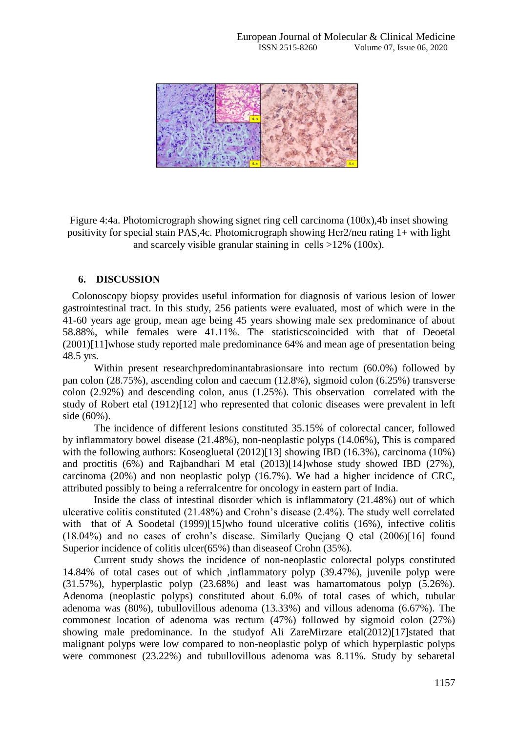

Figure 4:4a. Photomicrograph showing signet ring cell carcinoma (100x),4b inset showing positivity for special stain PAS,4c. Photomicrograph showing Her2/neu rating 1+ with light and scarcely visible granular staining in cells >12% (100x).

## **6. DISCUSSION**

Colonoscopy biopsy provides useful information for diagnosis of various lesion of lower gastrointestinal tract. In this study, 256 patients were evaluated, most of which were in the 41-60 years age group, mean age being 45 years showing male sex predominance of about 58.88%, while females were 41.11%. The statisticscoincided with that of Deoetal (2001)[11]whose study reported male predominance 64% and mean age of presentation being 48.5 yrs.

Within present researchpredominantabrasionsare into rectum (60.0%) followed by pan colon (28.75%), ascending colon and caecum (12.8%), sigmoid colon (6.25%) transverse colon (2.92%) and descending colon, anus (1.25%). This observation correlated with the study of Robert etal (1912)[12] who represented that colonic diseases were prevalent in left side (60%).

The incidence of different lesions constituted 35.15% of colorectal cancer, followed by inflammatory bowel disease (21.48%), non-neoplastic polyps (14.06%), This is compared with the following authors: Koseogluetal (2012)[13] showing IBD (16.3%), carcinoma (10%) and proctitis (6%) and Rajbandhari M etal (2013)[14]whose study showed IBD (27%), carcinoma (20%) and non neoplastic polyp (16.7%). We had a higher incidence of CRC, attributed possibly to being a referralcentre for oncology in eastern part of India.

Inside the class of intestinal disorder which is inflammatory (21.48%) out of which ulcerative colitis constituted (21.48%) and Crohn's disease (2.4%). The study well correlated with that of A Soodetal (1999)[15]who found ulcerative colitis (16%), infective colitis (18.04%) and no cases of crohn's disease. Similarly Quejang Q etal (2006)[16] found Superior incidence of colitis ulcer(65%) than diseaseof Crohn (35%).

Current study shows the incidence of non-neoplastic colorectal polyps constituted 14.84% of total cases out of which ,inflammatory polyp (39.47%), juvenile polyp were (31.57%), hyperplastic polyp (23.68%) and least was hamartomatous polyp (5.26%). Adenoma (neoplastic polyps) constituted about 6.0% of total cases of which, tubular adenoma was (80%), tubullovillous adenoma (13.33%) and villous adenoma (6.67%). The commonest location of adenoma was rectum (47%) followed by sigmoid colon (27%) showing male predominance. In the studyof Ali ZareMirzare etal(2012)[17]stated that malignant polyps were low compared to non-neoplastic polyp of which hyperplastic polyps were commonest (23.22%) and tubullovillous adenoma was 8.11%. Study by sebaretal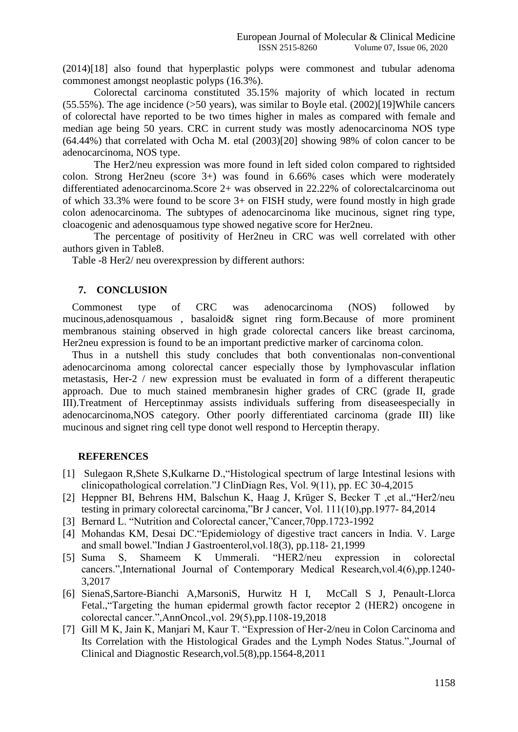(2014)[18] also found that hyperplastic polyps were commonest and tubular adenoma commonest amongst neoplastic polyps (16.3%).

Colorectal carcinoma constituted 35.15% majority of which located in rectum (55.55%). The age incidence (>50 years), was similar to Boyle etal. (2002)[19]While cancers of colorectal have reported to be two times higher in males as compared with female and median age being 50 years. CRC in current study was mostly adenocarcinoma NOS type (64.44%) that correlated with Ocha M. etal (2003)[20] showing 98% of colon cancer to be adenocarcinoma, NOS type.

The Her2/neu expression was more found in left sided colon compared to rightsided colon. Strong Her2neu (score 3+) was found in 6.66% cases which were moderately differentiated adenocarcinoma.Score 2+ was observed in 22.22% of colorectalcarcinoma out of which 33.3% were found to be score 3+ on FISH study, were found mostly in high grade colon adenocarcinoma. The subtypes of adenocarcinoma like mucinous, signet ring type, cloacogenic and adenosquamous type showed negative score for Her2neu.

The percentage of positivity of Her2neu in CRC was well correlated with other authors given in Table8.

Table -8 Her2/ neu overexpression by different authors:

#### **7. CONCLUSION**

Commonest type of CRC was adenocarcinoma (NOS) followed by mucinous,adenosquamous , basaloid& signet ring form.Because of more prominent membranous staining observed in high grade colorectal cancers like breast carcinoma, Her2neu expression is found to be an important predictive marker of carcinoma colon.

Thus in a nutshell this study concludes that both conventionalas non-conventional adenocarcinoma among colorectal cancer especially those by lymphovascular inflation metastasis, Her-2 / new expression must be evaluated in form of a different therapeutic approach. Due to much stained membranesin higher grades of CRC (grade II, grade III).Treatment of Herceptinmay assists individuals suffering from diseaseespecially in adenocarcinoma,NOS category. Other poorly differentiated carcinoma (grade III) like mucinous and signet ring cell type donot well respond to Herceptin therapy.

#### **REFERENCES**

- [1] Sulegaon R,Shete S,Kulkarne D.,"Histological spectrum of large Intestinal lesions with clinicopathological correlation."J ClinDiagn Res, Vol. 9(11), pp. EC 30-4,2015
- [2] Heppner BI, Behrens HM, Balschun K, Haag J, Krüger S, Becker T ,et al.,"Her2/neu testing in primary colorectal carcinoma,"Br J cancer, Vol. 111(10),pp.1977- 84,2014
- [3] Bernard L. "Nutrition and Colorectal cancer,"Cancer,70pp.1723-1992
- [4] Mohandas KM, Desai DC."Epidemiology of digestive tract cancers in India. V. Large and small bowel."Indian J Gastroenterol,vol.18(3), pp.118- 21,1999
- [5] Suma S, Shameem K Ummerali. "HER2/neu expression in colorectal cancers.",International Journal of Contemporary Medical Research,vol.4(6),pp.1240- 3,2017
- [6] SienaS,Sartore-Bianchi A,MarsoniS, Hurwitz H I, McCall S J, Penault-Llorca Fetal.,"Targeting the human epidermal growth factor receptor 2 (HER2) oncogene in colorectal cancer.",AnnOncol.,vol. 29(5),pp.1108-19,2018
- [7] Gill M K, Jain K, Manjari M, Kaur T. "Expression of Her-2/neu in Colon Carcinoma and Its Correlation with the Histological Grades and the Lymph Nodes Status.",Journal of Clinical and Diagnostic Research,vol.5(8),pp.1564-8,2011